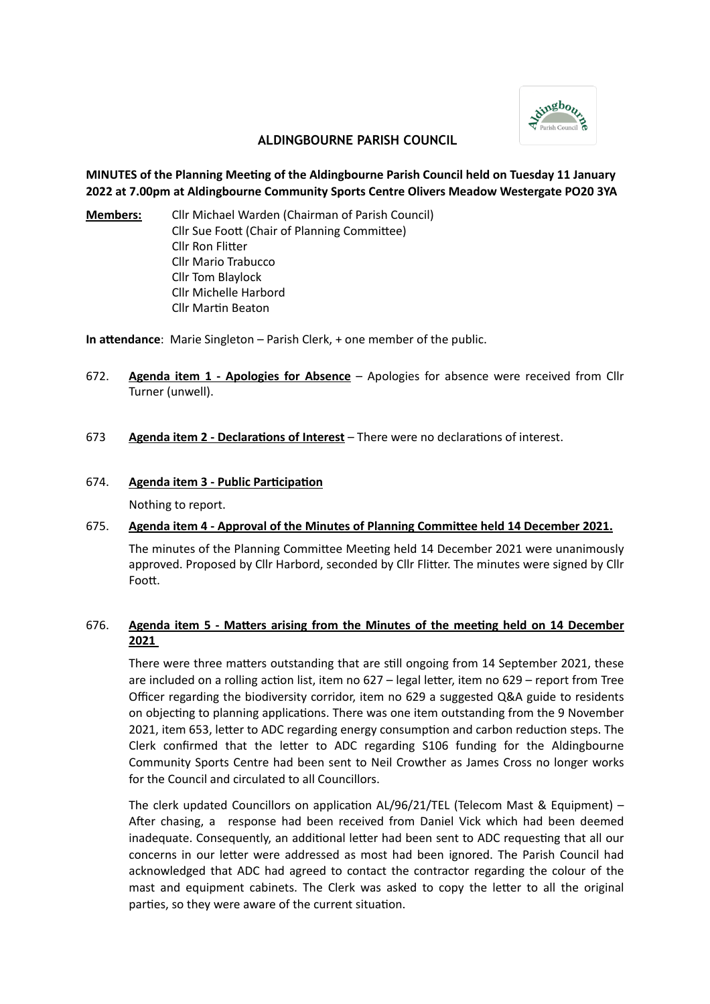

## **ALDINGBOURNE PARISH COUNCIL**

## **MINUTES of the Planning Meeting of the Aldingbourne Parish Council held on Tuesday 11 January 2022 at 7.00pm at Aldingbourne Community Sports Centre Olivers Meadow Westergate PO20 3YA**

**Members:** Cllr Michael Warden (Chairman of Parish Council) Cllr Sue Foott (Chair of Planning Committee) Cllr Ron Flitter Cllr Mario Trabucco Cllr Tom Blaylock Cllr Michelle Harbord Cllr Martin Beaton

**In attendance**: Marie Singleton – Parish Clerk, + one member of the public.

672. **Agenda item 1 - Apologies for Absence** – Apologies for absence were received from Cllr Turner (unwell).

### 673 **Agenda item 2 - Declarations of Interest** – There were no declarations of interest.

#### 674. **Agenda item 3 - Public Participation**

Nothing to report.

## 675. **Agenda item 4 - Approval of the Minutes of Planning Committee held 14 December 2021.**

The minutes of the Planning Committee Meeting held 14 December 2021 were unanimously approved. Proposed by Cllr Harbord, seconded by Cllr Flitter. The minutes were signed by Cllr Foott.

## 676. **Agenda item 5 - Matters arising from the Minutes of the meeting held on 14 December 2021**

There were three matters outstanding that are still ongoing from 14 September 2021, these are included on a rolling action list, item no 627 – legal letter, item no 629 – report from Tree Officer regarding the biodiversity corridor, item no 629 a suggested Q&A guide to residents on objecting to planning applications. There was one item outstanding from the 9 November 2021, item 653, letter to ADC regarding energy consumption and carbon reduction steps. The Clerk confirmed that the letter to ADC regarding S106 funding for the Aldingbourne Community Sports Centre had been sent to Neil Crowther as James Cross no longer works for the Council and circulated to all Councillors.

The clerk updated Councillors on application AL/96/21/TEL (Telecom Mast & Equipment) – After chasing, a response had been received from Daniel Vick which had been deemed inadequate. Consequently, an additional letter had been sent to ADC requesting that all our concerns in our letter were addressed as most had been ignored. The Parish Council had acknowledged that ADC had agreed to contact the contractor regarding the colour of the mast and equipment cabinets. The Clerk was asked to copy the letter to all the original parties, so they were aware of the current situation.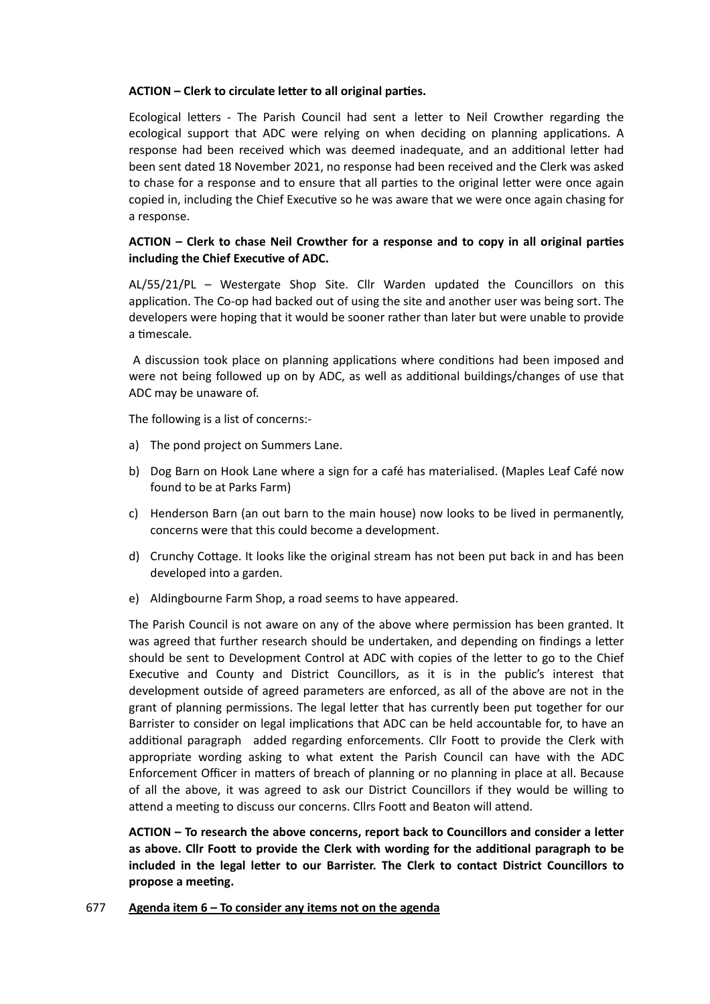### **ACTION – Clerk to circulate letter to all original parties.**

Ecological letters - The Parish Council had sent a letter to Neil Crowther regarding the ecological support that ADC were relying on when deciding on planning applications. A response had been received which was deemed inadequate, and an additional letter had been sent dated 18 November 2021, no response had been received and the Clerk was asked to chase for a response and to ensure that all parties to the original letter were once again copied in, including the Chief Executive so he was aware that we were once again chasing for a response.

## **ACTION – Clerk to chase Neil Crowther for a response and to copy in all original parties including the Chief Executive of ADC.**

AL/55/21/PL – Westergate Shop Site. Cllr Warden updated the Councillors on this application. The Co-op had backed out of using the site and another user was being sort. The developers were hoping that it would be sooner rather than later but were unable to provide a timescale.

A discussion took place on planning applications where conditions had been imposed and were not being followed up on by ADC, as well as additional buildings/changes of use that ADC may be unaware of.

The following is a list of concerns:-

- a) The pond project on Summers Lane.
- b) Dog Barn on Hook Lane where a sign for a café has materialised. (Maples Leaf Café now found to be at Parks Farm)
- c) Henderson Barn (an out barn to the main house) now looks to be lived in permanently, concerns were that this could become a development.
- d) Crunchy Cottage. It looks like the original stream has not been put back in and has been developed into a garden.
- e) Aldingbourne Farm Shop, a road seems to have appeared.

The Parish Council is not aware on any of the above where permission has been granted. It was agreed that further research should be undertaken, and depending on findings a letter should be sent to Development Control at ADC with copies of the letter to go to the Chief Executive and County and District Councillors, as it is in the public's interest that development outside of agreed parameters are enforced, as all of the above are not in the grant of planning permissions. The legal letter that has currently been put together for our Barrister to consider on legal implications that ADC can be held accountable for, to have an additional paragraph added regarding enforcements. Cllr Foott to provide the Clerk with appropriate wording asking to what extent the Parish Council can have with the ADC Enforcement Officer in matters of breach of planning or no planning in place at all. Because of all the above, it was agreed to ask our District Councillors if they would be willing to attend a meeting to discuss our concerns. Cllrs Foott and Beaton will attend.

**ACTION – To research the above concerns, report back to Councillors and consider a letter as above. Cllr Foott to provide the Clerk with wording for the additional paragraph to be included in the legal letter to our Barrister. The Clerk to contact District Councillors to propose a meeting.**

677 **Agenda item 6 – To consider any items not on the agenda**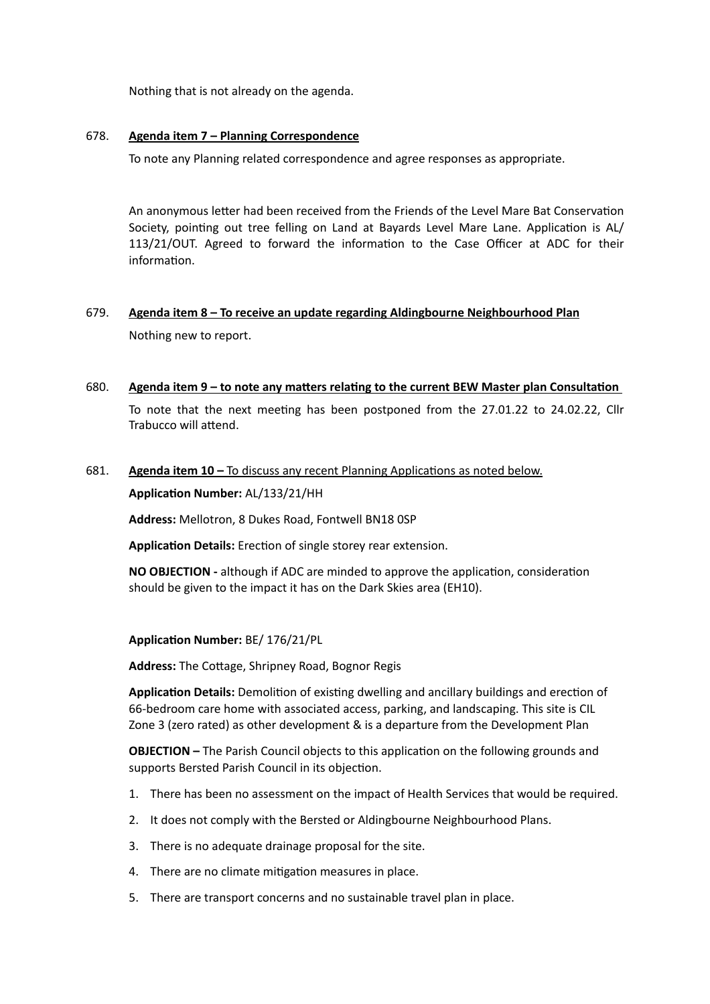Nothing that is not already on the agenda.

### 678. **Agenda item 7 – Planning Correspondence**

To note any Planning related correspondence and agree responses as appropriate.

An anonymous letter had been received from the Friends of the Level Mare Bat Conservation Society, pointing out tree felling on Land at Bayards Level Mare Lane. Application is AL/ 113/21/OUT. Agreed to forward the information to the Case Officer at ADC for their information.

# 679. **Agenda item 8 – To receive an update regarding Aldingbourne Neighbourhood Plan**

Nothing new to report.

### 680. **Agenda item 9 – to note any matters relating to the current BEW Master plan Consultation**

To note that the next meeting has been postponed from the 27.01.22 to 24.02.22, Cllr Trabucco will attend.

## 681. **Agenda item 10 –** To discuss any recent Planning Applications as noted below.

**Application Number:** AL/133/21/HH

**Address:** Mellotron, 8 Dukes Road, Fontwell BN18 0SP

**Application Details:** Erection of single storey rear extension.

**NO OBJECTION -** although if ADC are minded to approve the application, consideration should be given to the impact it has on the Dark Skies area (EH10).

### **Application Number:** BE/ 176/21/PL

**Address:** The Cottage, Shripney Road, Bognor Regis

**Application Details:** Demolition of existing dwelling and ancillary buildings and erection of 66-bedroom care home with associated access, parking, and landscaping. This site is CIL Zone 3 (zero rated) as other development & is a departure from the Development Plan

**OBJECTION –** The Parish Council objects to this application on the following grounds and supports Bersted Parish Council in its objection.

- 1. There has been no assessment on the impact of Health Services that would be required.
- 2. It does not comply with the Bersted or Aldingbourne Neighbourhood Plans.
- 3. There is no adequate drainage proposal for the site.
- 4. There are no climate mitigation measures in place.
- 5. There are transport concerns and no sustainable travel plan in place.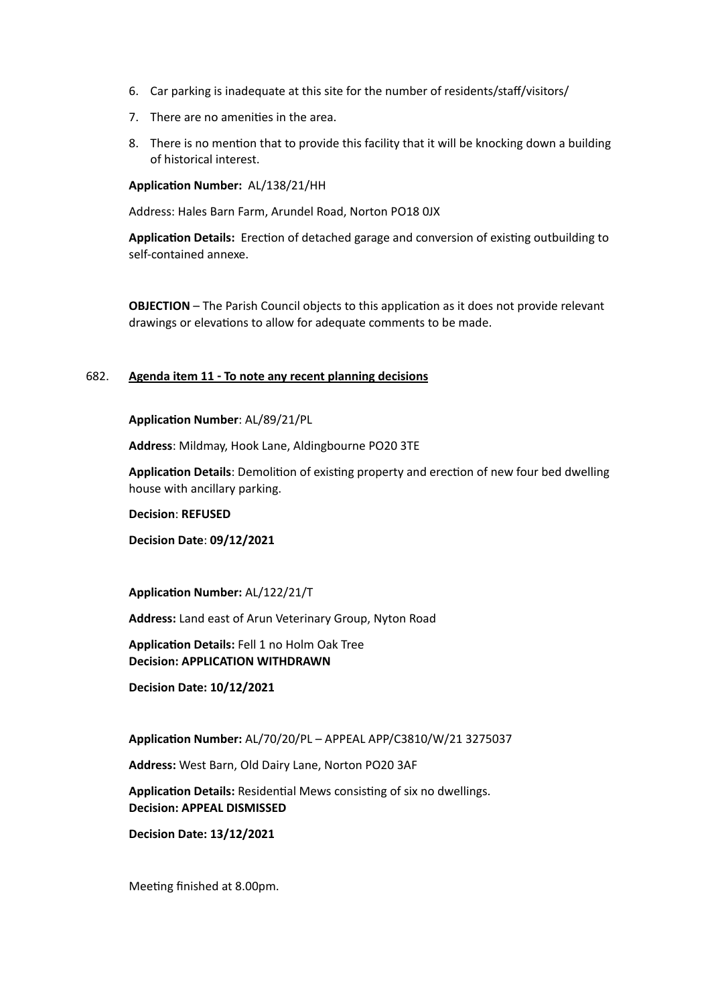- 6. Car parking is inadequate at this site for the number of residents/staff/visitors/
- 7. There are no amenities in the area.
- 8. There is no mention that to provide this facility that it will be knocking down a building of historical interest.

**Application Number:** AL/138/21/HH

Address: Hales Barn Farm, Arundel Road, Norton PO18 0JX

**Application Details:** Erection of detached garage and conversion of existing outbuilding to self-contained annexe.

**OBJECTION** – The Parish Council objects to this application as it does not provide relevant drawings or elevations to allow for adequate comments to be made.

### 682. **Agenda item 11 - To note any recent planning decisions**

#### **Application Number**: AL/89/21/PL

**Address**: Mildmay, Hook Lane, Aldingbourne PO20 3TE

**Application Details**: Demolition of existing property and erection of new four bed dwelling house with ancillary parking.

**Decision**: **REFUSED**

**Decision Date**: **09/12/2021**

**Application Number:** AL/122/21/T

**Address:** Land east of Arun Veterinary Group, Nyton Road

**Application Details:** Fell 1 no Holm Oak Tree **Decision: APPLICATION WITHDRAWN**

**Decision Date: 10/12/2021**

**Application Number:** AL/70/20/PL – APPEAL APP/C3810/W/21 3275037

**Address:** West Barn, Old Dairy Lane, Norton PO20 3AF

**Application Details:** Residential Mews consisting of six no dwellings. **Decision: APPEAL DISMISSED**

**Decision Date: 13/12/2021**

Meeting finished at 8.00pm.